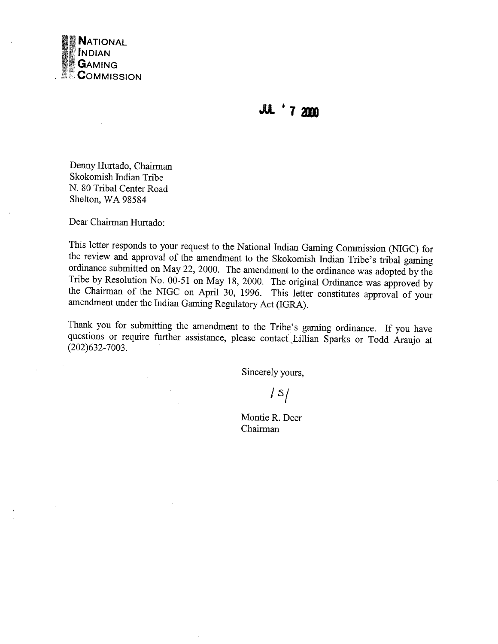

**JUL '7 2000** 

Denny Hurtado, Chairman Skokomish Indian Tribe N. 80 Tribal Center Road Shelton, WA 98584

Dear Chairman Hurtado:

 $\mathcal{L}$ 

 $\mathcal{L}$ 

This letter responds to your request to the National Indian Gaming Commission (NIGC) for the review and approval of the amendment to the Skokomish Indian Tribe's tribal gaming ordinance submitted on May 22, 2000. The amendment to the ordinance was adopted by the Tribe by Resolution No. 00-51 on May 18, 2000. The original Ordinance was approved by the Chairman of the NIGC on April 30, 1996. This letter constitutes approval of your amendment under the Indian Gaming Regulatory Act (IGRA).

Thank you for submitting the amendment to the Tribe's gaming ordinance. If you have questions or require further assistance, please contact Lillian Sparks or Todd Araujo at  $(202)632 - 7003.$ 

Sincerely yours,

 $\sqrt{5/2}$ 

Montie R. Deer Chairman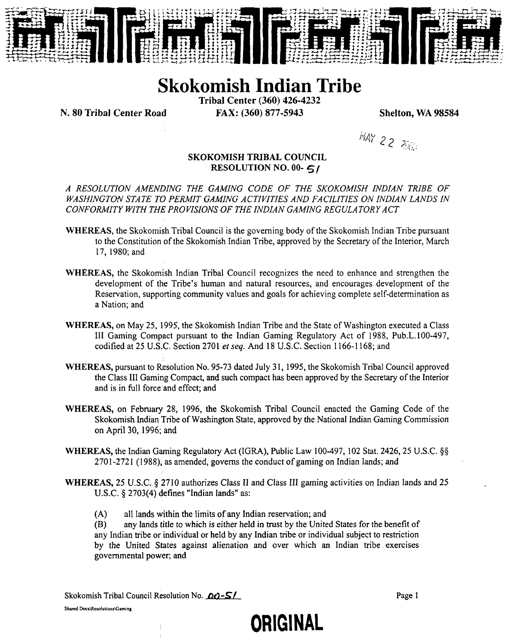

**Skokomish Indian Tribe**

**Tribal Center (360) 426-4232**

**N. <sup>80</sup> Tribal Center Road FAX: (360) 877-5943 Shelton, WA <sup>98584</sup>**

**~ 2~ ?~:;**

## **SKOKOMISH TRIBAL COUNCIL RESOLUTION NO. 00-**

**A RESOLUTION AMENDING THE GAMING CODE OF THE SKOKOMISH INDIAN TRIBE OF WASHINGTON STATE TO PERMJT GAMJNG ACTIVITIES AND FACILITIES ON INDIAN LANDS IN CONFORMITY WITH THE PRO VISIONS OF THE INDIAN GAMING REGULATORY A CT**

- **WHEREAS, the Skokomish Tribal Council is the governing body of the Skokomish Indian Tribe pursuant to the Constitution of the Skokomish Indian Tribe, approved by the Secretary of the Interior, March 17, 1980; and**
- **WHEREAS, the Skokomish Indian Tribal Council recognizes the need to enhance and strengthen the development** of the Tribe's human and natural resources, and encourages development of the **Reservation, supporting community values and goals for achieving complete self-determination as a Nation; and**
- **WHEREAS, on May 25, 1995, the Skokomish Indian Tribe and the State of Washington executed <sup>a</sup> Class III Gaming Compact pursuant to the Indian Gaming Regulatory Act of 1988, Pub.L.lOO-497, codified at <sup>25</sup> U.S.C. Section <sup>2701</sup> etseq. And <sup>18</sup> U.S.C. Section 1166-1168; and**
- **WHEREAS, pursuant to Resolution No. 95-73 dated July 31, 1995, the Skokomish Tribal Council approved the Class III Gaming Compact, and such compact has been approved by the Secretary of the Interior and is in full force and effect; and**
- **WHEREAS, on February 28, 1996, the Skokomish Tribal Council enacted the Gaming Code of the Skokomish Indian Tribe of Washington State, approved by the National Indian Gaming Commission on April 30, 1996; and**
- **WHEREAS, the Indian Gaming Regulatory Act (IGRA), Public Law 100-497, <sup>102</sup> Stat. 2426, <sup>25</sup> U.S.C. §~ 2701-2721 (1988), as amended, governs the conduct of gaming on indian lands; and**
- WHEREAS, 25 U.S.C. § 2710 authorizes Class II and Class III gaming activities on Indian lands and 25 **U.S.C. § 2703(4) defines Indian lands as:**
	- **(A) all lands within the limits of any Indian reservation; and**

(B) any lands title to which is either held in trust by the United States for the benefit of **any Indian tribe or~ individual or held by any Indian tribe or individual subject to restriction by the United States against alienation and over which an Indian tribe exercises governmental power; and**

**ORIGINAL**

**Skokomish Tribal Council Resolution No.** *bc***l S<sup>p</sup><sub>2</sub>. Section 10. <b>Page** 1